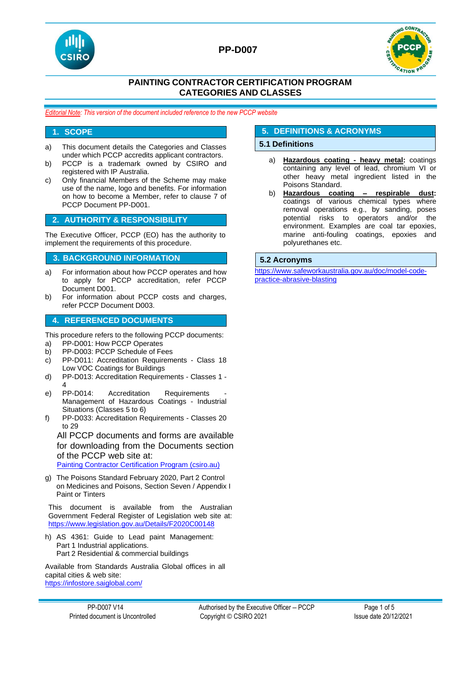



### **PAINTING CONTRACTOR CERTIFICATION PROGRAM CATEGORIES AND CLASSES**

*Editorial Note: This version of the document included reference to the new PCCP website*

#### **1. SCOPE**

- a) This document details the Categories and Classes under which PCCP accredits applicant contractors.
- b) PCCP is a trademark owned by CSIRO and registered with IP Australia.
- c) Only financial Members of the Scheme may make use of the name, logo and benefits. For information on how to become a Member, refer to clause 7 of PCCP Document PP-D001.

#### **2. AUTHORITY & RESPONSIBILITY**

The Executive Officer, PCCP (EO) has the authority to implement the requirements of this procedure.

#### **3. BACKGROUND INFORMATION 5.2 Acronyms**

- a) For information about how PCCP operates and how to apply for PCCP accreditation, refer PCCP Document D001.
- b) For information about PCCP costs and charges, refer PCCP Document D003.

#### **4. REFERENCED DOCUMENTS**

This procedure refers to the following PCCP documents:

- a) PP-D001: How PCCP Operates
- b) PP-D003: PCCP Schedule of Fees
- c) PP-D011: Accreditation Requirements Class 18 Low VOC Coatings for Buildings
- d) PP-D013: Accreditation Requirements Classes 1 4
- e) PP-D014: Accreditation Requirements Management of Hazardous Coatings - Industrial Situations (Classes 5 to 6)
- f) PP-D033: Accreditation Requirements Classes 20 to 29

All PCCP documents and forms are available for downloading from the Documents section of the PCCP web site at: [Painting Contractor Certification Program \(csiro.au\)](https://vs.csiro.au/pccp/)

g) The Poisons Standard February 2020, Part 2 Control on Medicines and Poisons, Section Seven / Appendix I Paint or Tinters

This document is available from the Australian Government Federal Register of Legislation web site at: <https://www.legislation.gov.au/Details/F2020C00148>

h) AS 4361: Guide to Lead paint Management: Part 1 Industrial applications. Part 2 Residential & commercial buildings

Available from Standards Australia Global offices in all capital cities & web site: <https://infostore.saiglobal.com/>

#### PP-D007 V14 **PP-D007 V14** Authorised by the Executive Officer – PCCP Page 1 of 5 Printed document is Uncontrolled Copyright © CSIRO 2021 Issue date 20/12/2021

# **5. DEFINITIONS & ACRONYMS**

#### **5.1 Definitions**

- a) **Hazardous coating - heavy metal:** coatings containing any level of lead, chromium VI or other heavy metal ingredient listed in the Poisons Standard.
- b) **Hazardous coating – respirable dust:** coatings of various chemical types where removal operations e.g., by sanding, poses potential risks to operators and/or the environment. Examples are coal tar epoxies, marine anti-fouling coatings, epoxies and polyurethanes etc.

[https://www.safeworkaustralia.gov.au/doc/model-code](https://www.safeworkaustralia.gov.au/doc/model-code-practice-abrasive-blasting)[practice-abrasive-blasting](https://www.safeworkaustralia.gov.au/doc/model-code-practice-abrasive-blasting)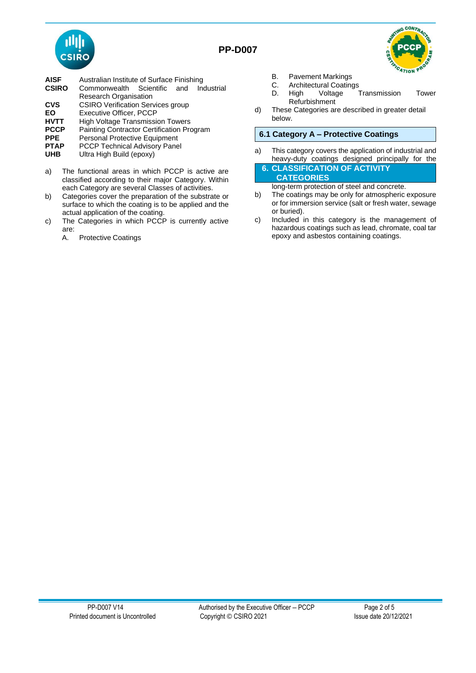



- **AISF** Australian Institute of Surface Finishing<br> **CSIRO** Commonwealth Scientific and In
- Commonwealth Scientific and Industrial Research Organisation
- **CVS** CSIRO Verification Services group<br> **FO** Executive Officer PCCP
- **EO** Executive Officer, PCCP<br>**HVTT** High Voltage Transmissi
- **High Voltage Transmission Towers**
- **PCCP** Painting Contractor Certification Program<br> **PPE** Personal Protective Equipment
- **PPE** Personal Protective Equipment<br>**PTAP** PCCP Technical Advisory Pane
- **PTAP** PCCP Technical Advisory Panel<br>**UHB** Ultra High Build (epoxy)
- **Ultra High Build (epoxy)**
- a) The functional areas in which PCCP is active are classified according to their major Category. Within each Category are several Classes of activities.
- b) Categories cover the preparation of the substrate or surface to which the coating is to be applied and the actual application of the coating.
- c) The Categories in which PCCP is currently active are:
	- A. Protective Coatings
- B. Pavement Markings<br>C. Architectural Coatine
- C. Architectural Coatings<br>D. High Voltage 7
- Transmission Tower Refurbishment
- d) These Categories are described in greater detail below.

#### **6.1 Category A – Protective Coatings**

a) This category covers the application of industrial and heavy-duty coatings designed principally for the

**6. CLASSIFICATION OF ACTIVITY CATEGORIES**

long-term protection of steel and concrete.

- b) The coatings may be only for atmospheric exposure or for immersion service (salt or fresh water, sewage or buried).
- c) Included in this category is the management of hazardous coatings such as lead, chromate, coal tar epoxy and asbestos containing coatings.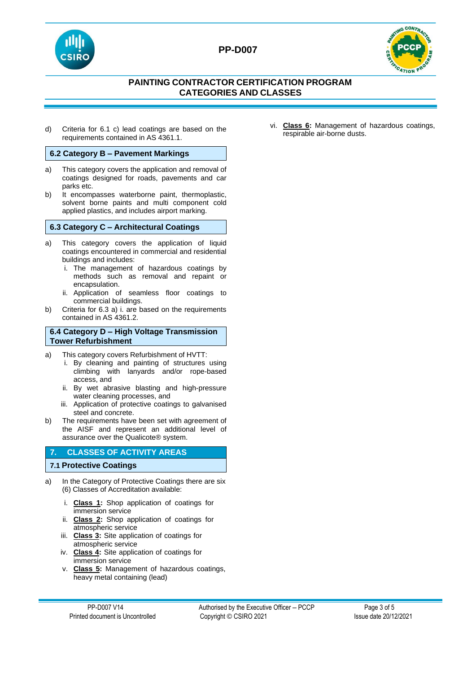



# **PAINTING CONTRACTOR CERTIFICATION PROGRAM CATEGORIES AND CLASSES**

d) Criteria for 6.1 c) lead coatings are based on the requirements contained in AS 4361.1.

#### **6.2 Category B – Pavement Markings**

- a) This category covers the application and removal of coatings designed for roads, pavements and car parks etc.
- b) It encompasses waterborne paint, thermoplastic, solvent borne paints and multi component cold applied plastics, and includes airport marking.

#### **6.3 Category C – Architectural Coatings**

- a) This category covers the application of liquid coatings encountered in commercial and residential buildings and includes:
	- i. The management of hazardous coatings by methods such as removal and repaint or encapsulation.
	- ii. Application of seamless floor coatings to commercial buildings.
- b) Criteria for 6.3 a) i. are based on the requirements contained in AS 4361.2.

#### **6.4 Category D – High Voltage Transmission Tower Refurbishment**

- a) This category covers Refurbishment of HVTT:
	- i. By cleaning and painting of structures using climbing with lanyards and/or rope-based access, and
	- ii. By wet abrasive blasting and high-pressure water cleaning processes, and
	- iii. Application of protective coatings to galvanised steel and concrete.
- b) The requirements have been set with agreement of the AISF and represent an additional level of assurance over the Qualicote® system.

#### **7. CLASSES OF ACTIVITY AREAS**

#### **7.1 Protective Coatings**

- a) In the Category of Protective Coatings there are six (6) Classes of Accreditation available:
	- i. **Class 1:** Shop application of coatings for immersion service
	- ii. **Class 2:** Shop application of coatings for atmospheric service
	- iii. **Class 3:** Site application of coatings for atmospheric service
	- iv. **Class 4:** Site application of coatings for immersion service
	- v. **Class 5:** Management of hazardous coatings, heavy metal containing (lead)

vi. **Class 6:** Management of hazardous coatings, respirable air-borne dusts.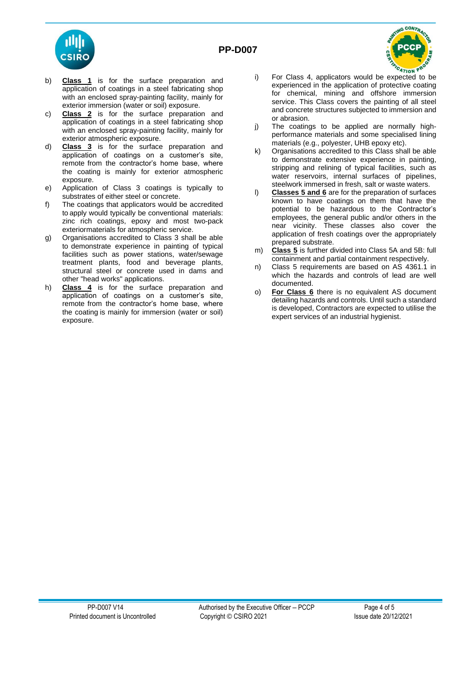

- b) **Class 1** is for the surface preparation and application of coatings in a steel fabricating shop with an enclosed spray-painting facility, mainly for exterior immersion (water or soil) exposure.
- c) **Class 2** is for the surface preparation and application of coatings in a steel fabricating shop with an enclosed spray-painting facility, mainly for exterior atmospheric exposure.
- d) **Class 3** is for the surface preparation and application of coatings on a customer's site, remote from the contractor's home base, where the coating is mainly for exterior atmospheric exposure.
- e) Application of Class 3 coatings is typically to substrates of either steel or concrete.
- f) The coatings that applicators would be accredited to apply would typically be conventional materials: zinc rich coatings, epoxy and most two-pack exteriormaterials for atmospheric service.
- g) Organisations accredited to Class 3 shall be able to demonstrate experience in painting of typical facilities such as power stations, water/sewage treatment plants, food and beverage plants, structural steel or concrete used in dams and other "head works" applications.
- h) **Class 4** is for the surface preparation and application of coatings on a customer's site, remote from the contractor's home base, where the coating is mainly for immersion (water or soil) exposure.

i) For Class 4, applicators would be expected to be experienced in the application of protective coating for chemical, mining and offshore immersion service. This Class covers the painting of all steel and concrete structures subjected to immersion and or abrasion.

**CONTA** 

- j) The coatings to be applied are normally highperformance materials and some specialised lining materials (e.g., polyester, UHB epoxy etc).
- k) Organisations accredited to this Class shall be able to demonstrate extensive experience in painting, stripping and relining of typical facilities, such as water reservoirs, internal surfaces of pipelines, steelwork immersed in fresh, salt or waste waters.
- l) **Classes 5 and 6** are for the preparation of surfaces known to have coatings on them that have the potential to be hazardous to the Contractor's employees, the general public and/or others in the near vicinity. These classes also cover the application of fresh coatings over the appropriately prepared substrate.
- m) **Class 5** is further divided into Class 5A and 5B: full containment and partial containment respectively.
- n) Class 5 requirements are based on AS 4361.1 in which the hazards and controls of lead are well documented.
- o) **For Class 6** there is no equivalent AS document detailing hazards and controls. Until such a standard is developed, Contractors are expected to utilise the expert services of an industrial hygienist.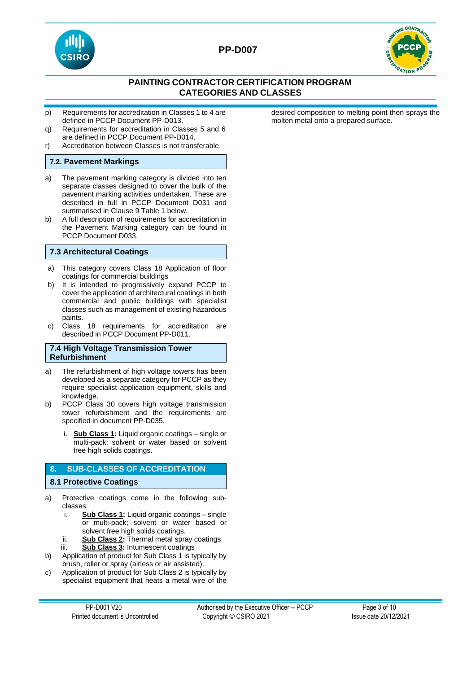



# **PAINTING CONTRACTOR CERTIFICATION PROGRAM CATEGORIES AND CLASSES**

- p) Requirements for accreditation in Classes 1 to 4 are defined in PCCP Document PP-D013.
- q) Requirements for accreditation in Classes 5 and 6 are defined in PCCP Document PP-D014.
- r) Accreditation between Classes is not transferable.

#### **7.2. Pavement Markings**

- a) The pavement marking category is divided into ten separate classes designed to cover the bulk of the pavement marking activities undertaken. These are described in full in PCCP Document D031 and summarised in Clause 9 Table 1 below.
- b) A full description of requirements for accreditation in the Pavement Marking category can be found in PCCP Document D033.

#### **7.3 Architectural Coatings**

- a) This category covers Class 18 Application of floor coatings for commercial buildings
- b) It is intended to progressively expand PCCP to cover the application of architectural coatings in both commercial and public buildings with specialist classes such as management of existing hazardous paints.
- c) Class 18 requirements for accreditation are described in PCCP Document PP-D011.

#### **7.4 High Voltage Transmission Tower Refurbishment**

- a) The refurbishment of high voltage towers has been developed as a separate category for PCCP as they require specialist application equipment, skills and knowledge.
- b) PCCP Class 30 covers high voltage transmission tower refurbishment and the requirements are specified in document PP-D035.
	- i. **Sub Class 1:** Liquid organic coatings single or multi-pack; solvent or water based or solvent free high solids coatings.

#### **8. SUB-CLASSES OF ACCREDITATION**

#### **8.1 Protective Coatings**

- a) Protective coatings come in the following subclasses:
	- i. **Sub Class 1:** Liquid organic coatings single or multi-pack; solvent or water based or solvent free high solids coatings.
	- ii. **Sub Class 2:** Thermal metal spray coatings iii. **Sub Class 3:** Intumescent coatings
- b) Application of product for Sub Class 1 is typically by brush, roller or spray (airless or air assisted).
- c) Application of product for Sub Class 2 is typically by specialist equipment that heats a metal wire of the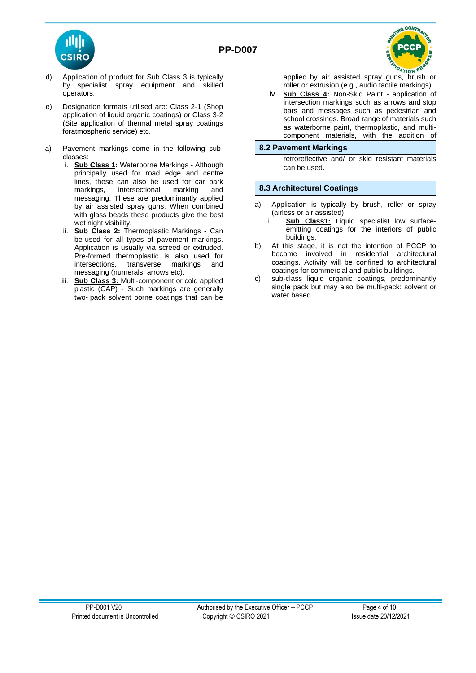

- d) Application of product for Sub Class 3 is typically by specialist spray equipment and skilled operators.
- e) Designation formats utilised are: Class 2-1 (Shop application of liquid organic coatings) or Class 3-2 (Site application of thermal metal spray coatings foratmospheric service) etc.
- a) Pavement markings come in the following subclasses:
	- i. **Sub Class 1:** Waterborne Markings **-** Although principally used for road edge and centre lines, these can also be used for car park<br>markings, intersectional marking and markings, intersectional marking messaging. These are predominantly applied by air assisted spray guns. When combined with glass beads these products give the best wet night visibility.
	- **Sub Class 2: Thermoplastic Markings Can** be used for all types of pavement markings. Application is usually via screed or extruded. Pre-formed thermoplastic is also used for intersections, transverse markings and messaging (numerals, arrows etc).
	- iii. **Sub Class 3:** Multi-component or cold applied plastic (CAP) - Such markings are generally two- pack solvent borne coatings that can be



applied by air assisted spray guns, brush or roller or extrusion (e.g., audio tactile markings).

iv. **Sub Class 4:** Non-Skid Paint - application of intersection markings such as arrows and stop bars and messages such as pedestrian and school crossings. Broad range of materials such as waterborne paint, thermoplastic, and multicomponent materials, with the addition of

#### **8.2 Pavement Markings**

retroreflective and/ or skid resistant materials can be used.

#### **8.3 Architectural Coatings**

- a) Application is typically by brush, roller or spray (airless or air assisted).<br>**Sub Class1:** Lig
	- Sub Class1: Liquid specialist low surfaceemitting coatings for the interiors of public buildings.
- b) At this stage, it is not the intention of PCCP to become involved in residential architectural coatings. Activity will be confined to architectural coatings for commercial and public buildings.
- c) sub-class liquid organic coatings, predominantly single pack but may also be multi-pack: solvent or water based.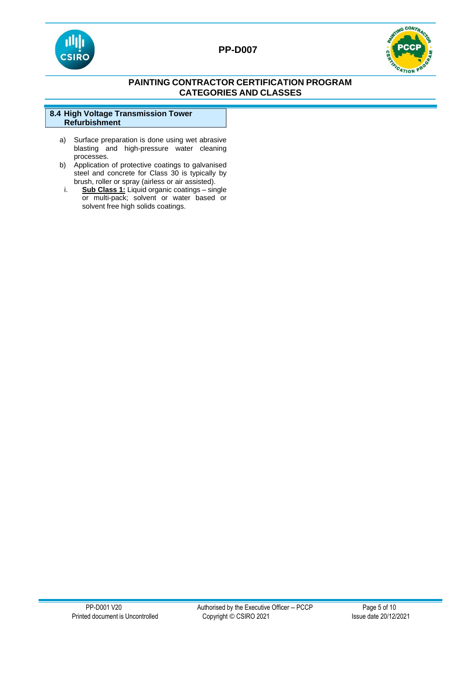



# **PAINTING CONTRACTOR CERTIFICATION PROGRAM CATEGORIES AND CLASSES**

|                      | 8.4 High Voltage Transmission Tower |  |
|----------------------|-------------------------------------|--|
| <b>Refurbishment</b> |                                     |  |

- a) Surface preparation is done using wet abrasive blasting and high-pressure water cleaning processes.
- b) Application of protective coatings to galvanised steel and concrete for Class 30 is typically by brush, roller or spray (airless or air assisted).
	- i. **Sub Class 1:** Liquid organic coatings single or multi-pack; solvent or water based or solvent free high solids coatings.